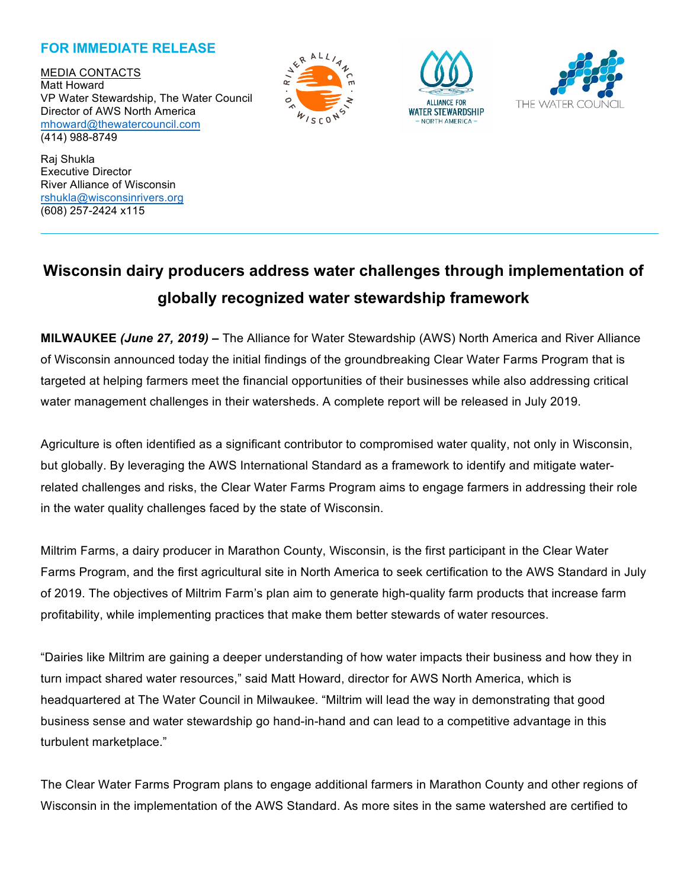## **FOR IMMEDIATE RELEASE**

MEDIA CONTACTS Matt Howard VP Water Stewardship, The Water Council Director of AWS North America mhoward@thewatercouncil.com (414) 988-8749







Raj Shukla Executive Director River Alliance of Wisconsin rshukla@wisconsinrivers.org (608) 257-2424 x115

# **Wisconsin dairy producers address water challenges through implementation of globally recognized water stewardship framework**

**MILWAUKEE** *(June 27, 2019)* **–** The Alliance for Water Stewardship (AWS) North America and River Alliance of Wisconsin announced today the initial findings of the groundbreaking Clear Water Farms Program that is targeted at helping farmers meet the financial opportunities of their businesses while also addressing critical water management challenges in their watersheds. A complete report will be released in July 2019.

Agriculture is often identified as a significant contributor to compromised water quality, not only in Wisconsin, but globally. By leveraging the AWS International Standard as a framework to identify and mitigate waterrelated challenges and risks, the Clear Water Farms Program aims to engage farmers in addressing their role in the water quality challenges faced by the state of Wisconsin.

Miltrim Farms, a dairy producer in Marathon County, Wisconsin, is the first participant in the Clear Water Farms Program, and the first agricultural site in North America to seek certification to the AWS Standard in July of 2019. The objectives of Miltrim Farm's plan aim to generate high-quality farm products that increase farm profitability, while implementing practices that make them better stewards of water resources.

"Dairies like Miltrim are gaining a deeper understanding of how water impacts their business and how they in turn impact shared water resources," said Matt Howard, director for AWS North America, which is headquartered at The Water Council in Milwaukee. "Miltrim will lead the way in demonstrating that good business sense and water stewardship go hand-in-hand and can lead to a competitive advantage in this turbulent marketplace."

The Clear Water Farms Program plans to engage additional farmers in Marathon County and other regions of Wisconsin in the implementation of the AWS Standard. As more sites in the same watershed are certified to